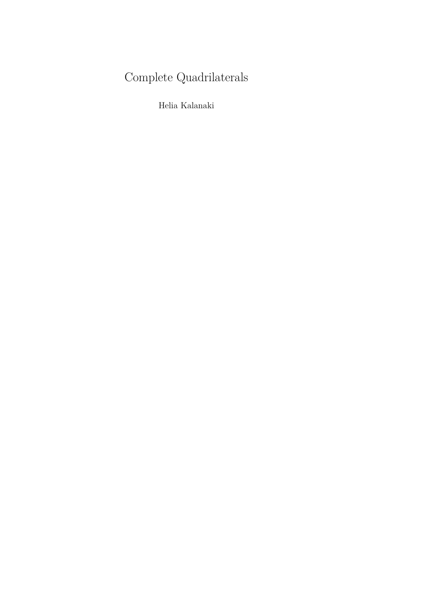# Complete Quadrilaterals

Helia Kalanaki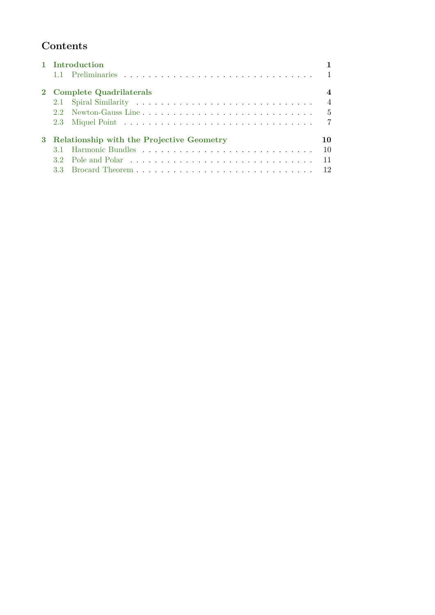## **Contents**

| 1 Introduction                              |                |                |
|---------------------------------------------|----------------|----------------|
|                                             |                |                |
| 2 Complete Quadrilaterals                   |                |                |
|                                             |                | $\overline{4}$ |
|                                             |                | $\overline{5}$ |
|                                             |                | $\overline{7}$ |
| 3 Relationship with the Projective Geometry |                | 10.            |
|                                             |                | 10             |
| 32 <sup>2</sup>                             | Pole and Polar | 11             |
| 33                                          |                | 12             |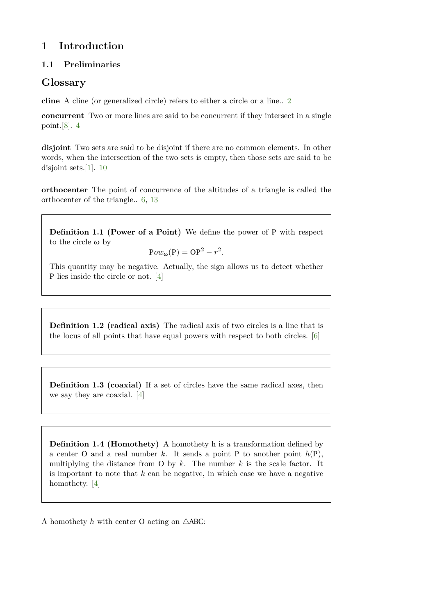## <span id="page-2-0"></span>**1 Introduction**

### <span id="page-2-1"></span>**1.1 Preliminaries**

## **Glossary**

<span id="page-2-2"></span>**cline** A cline (or generalized circle) refers to either a circle or a line.. [2](#page-3-0)

<span id="page-2-3"></span>**concurrent** Two or more lines are said to be concurrent if they intersect in a single point.[\[8\]](#page-16-0). [4](#page-5-2)

<span id="page-2-5"></span>**disjoint** Two sets are said to be disjoint if there are no common elements. In other words, when the intersection of the two sets is empty, then those sets are said to be disjoint sets.[\[1\]](#page-16-1). [10](#page-11-2)

<span id="page-2-4"></span>**orthocenter** The point of concurrence of the altitudes of a triangle is called the orthocenter of the triangle.. [6,](#page-7-0) [13](#page-14-0)

**Definition 1.1 (Power of a Point)** We define the power of P with respect to the circle *ω* by

$$
Pow_{\omega}(P) = OP^2 - r^2.
$$

This quantity may be negative. Actually, the sign allows us to detect whether P lies inside the circle or not. [\[4\]](#page-16-2)

**Definition 1.2 (radical axis)** The radical axis of two circles is a line that is the locus of all points that have equal powers with respect to both circles. [\[6\]](#page-16-3)

**Definition 1.3 (coaxial)** If a set of circles have the same radical axes, then we say they are coaxial. [\[4\]](#page-16-2)

**Definition 1.4 (Homothety)** A homothety h is a transformation defined by a center O and a real number  $k$ . It sends a point P to another point  $h(P)$ , multiplying the distance from O by  $k$ . The number  $k$  is the scale factor. It is important to note that *k* can be negative, in which case we have a negative homothety. [\[4\]](#page-16-2)

A homothety  $h$  with center O acting on  $\triangle$ ABC: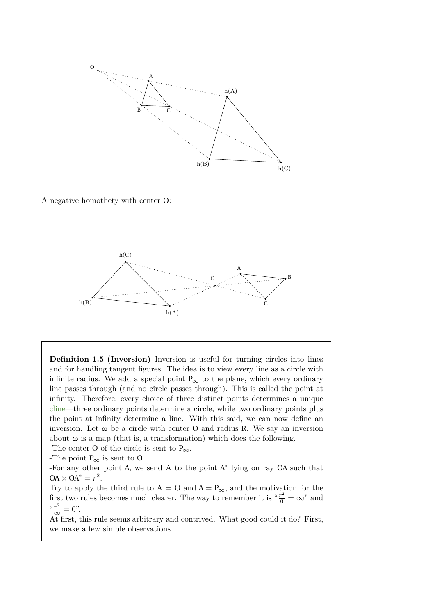<span id="page-3-0"></span>

A negative homothety with center O:



**Definition 1.5 (Inversion)** Inversion is useful for turning circles into lines and for handling tangent figures. The idea is to view every line as a circle with infinite radius. We add a special point  $P_{\infty}$  to the plane, which every ordinary line passes through (and no circle passes through). This is called the point at infinity. Therefore, every choice of three distinct points determines a unique [cline—](#page-2-2)three ordinary points determine a circle, while two ordinary points plus the point at infinity determine a line. With this said, we can now define an inversion. Let *ω* be a circle with center O and radius R. We say an inversion about  $\omega$  is a map (that is, a transformation) which does the following.

-The center O of the circle is sent to  $P_{\infty}$ .

-The point  $P_{\infty}$  is sent to O.

-For any other point A, we send A to the point A ∗ lying on ray OA such that  $OA \times OA^* = r^2$ .

Try to apply the third rule to  $A = O$  and  $A = P_{\infty}$ , and the motivation for the first two rules becomes much clearer. The way to remember it is " $\frac{r^2}{0} = \infty$ " and  $\frac{x^2}{\infty} = 0$ ".

At first, this rule seems arbitrary and contrived. What good could it do? First, we make a few simple observations.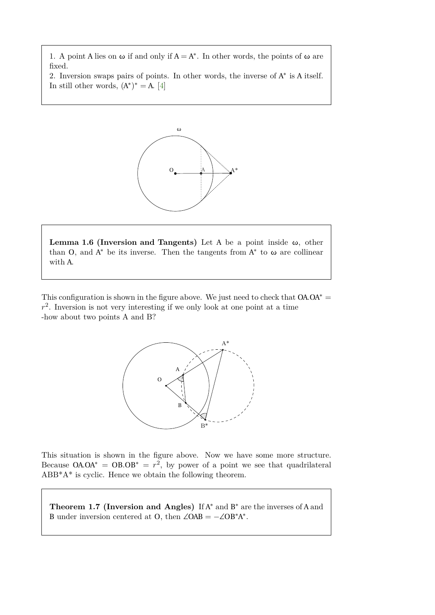1. A point A lies on  $\omega$  if and only if  $A = A^*$ . In other words, the points of  $\omega$  are fixed.

2. Inversion swaps pairs of points. In other words, the inverse of  $A^*$  is A itself. In still other words,  $(A^*)^* = A$ . [\[4\]](#page-16-2)



**Lemma 1.6 (Inversion and Tangents)** Let A be a point inside *ω*, other than O, and  $A^*$  be its inverse. Then the tangents from  $A^*$  to  $\omega$  are collinear with A.

This configuration is shown in the figure above. We just need to check that  $OA \cdot OA^* =$  $r<sup>2</sup>$ . Inversion is not very interesting if we only look at one point at a time -how about two points A and B?



This situation is shown in the figure above. Now we have some more structure. Because  $OA \cdot OA^* = OB \cdot OB^* = r^2$ , by power of a point we see that quadrilateral ABB\*A\* is cyclic. Hence we obtain the following theorem.

Theorem 1.7 (Inversion and Angles) If A<sup>\*</sup> and B<sup>\*</sup> are the inverses of A and B under inversion centered at O, then  $\angle OAB = -\angle OB^*A^*$ .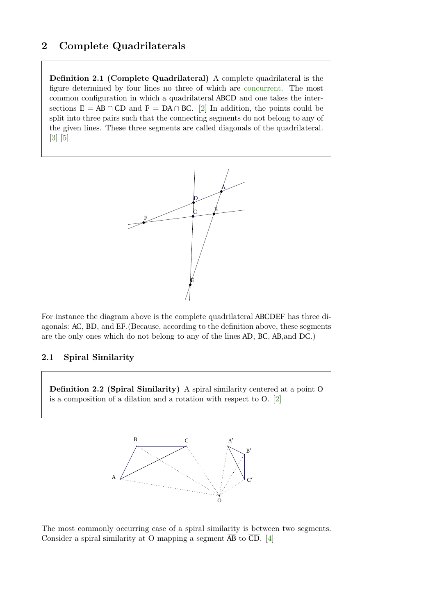## <span id="page-5-2"></span><span id="page-5-0"></span>**2 Complete Quadrilaterals**

**Definition 2.1 (Complete Quadrilateral)** A complete quadrilateral is the figure determined by four lines no three of which are [concurrent.](#page-2-3) The most *f g i* common configuration in which a quadrilateral ABCD and one takes the intersections  $E = AB \cap CD$  and  $F = DA \cap BC$ . [\[2\]](#page-16-4) In addition, the points could be split into three pairs such that the connecting segments do not belong to any of the given lines. These three segments are called diagonals of the quadrilateral. [\[3\]](#page-16-5) [\[5\]](#page-16-6)



For instance the diagram above is the complete quadrilateral ABCDEF has three diagonals: AC, BD, and EF.(Because, according to the definition above, these segments are the only ones which do not belong to any of the lines AD, BC, AB,and DC.)

#### <span id="page-5-1"></span>**2.1 Spiral Similarity**

**Definition 2.2 (Spiral Similarity)** A spiral similarity centered at a point O is a composition of a dilation and a rotation with respect to O. [\[2\]](#page-16-4)



The most commonly occurring case of a spiral similarity is between two segments. Consider a spiral similarity at O mapping a segment  $\overline{AB}$  to  $\overline{CD}$ . [\[4\]](#page-16-2)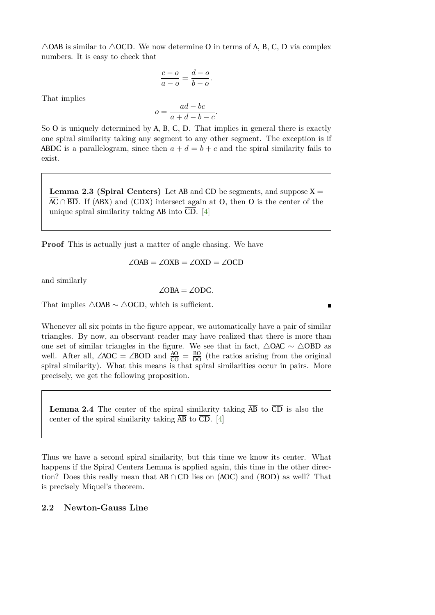$\triangle$ OAB is similar to  $\triangle$ OCD. We now determine O in terms of A, B, C, D via complex numbers. It is easy to check that

$$
\frac{c-o}{a-o} = \frac{d-o}{b-o}.
$$

That implies

$$
o = \frac{ad - bc}{a + d - b - c}.
$$

So O is uniquely determined by A, B, C, D. That implies in general there is exactly one spiral similarity taking any segment to any other segment. The exception is if ABDC is a parallelogram, since then  $a + d = b + c$  and the spiral similarity fails to exist.

**Lemma 2.3 (Spiral Centers)** Let  $\overline{AB}$  and  $\overline{CD}$  be segments, and suppose X =  $\overline{AC} \cap \overline{BD}$ . If (ABX) and (CDX) intersect again at O, then O is the center of the unique spiral similarity taking  $\overline{AB}$  into  $\overline{CD}$ . [\[4\]](#page-16-2)

**Proof** This is actually just a matter of angle chasing. We have

$$
\angle OAB = \angle OXB = \angle OXD = \angle OCD
$$

and similarly

∠OBA = ∠ODC*.*

That implies  $\triangle$ OAB ~  $\triangle$ OCD, which is sufficient.

Whenever all six points in the figure appear, we automatically have a pair of similar triangles. By now, an observant reader may have realized that there is more than one set of similar triangles in the figure. We see that in fact,  $\triangle$ OAC ∼  $\triangle$ OBD as well. After all,  $\angle AOC = \angle BOD$  and  $\frac{AO}{CO} = \frac{BO}{DO}$  (the ratios arising from the original spiral similarity). What this means is that spiral similarities occur in pairs. More precisely, we get the following proposition.

**Lemma 2.4** The center of the spiral similarity taking  $\overline{AB}$  to  $\overline{CD}$  is also the center of the spiral similarity taking  $\overline{AB}$  to  $\overline{CD}$ . [\[4\]](#page-16-2)

Thus we have a second spiral similarity, but this time we know its center. What happens if the Spiral Centers Lemma is applied again, this time in the other direction? Does this really mean that AB ∩ CD lies on (AOC) and (BOD) as well? That is precisely Miquel's theorem.

#### <span id="page-6-0"></span>**2.2 Newton-Gauss Line**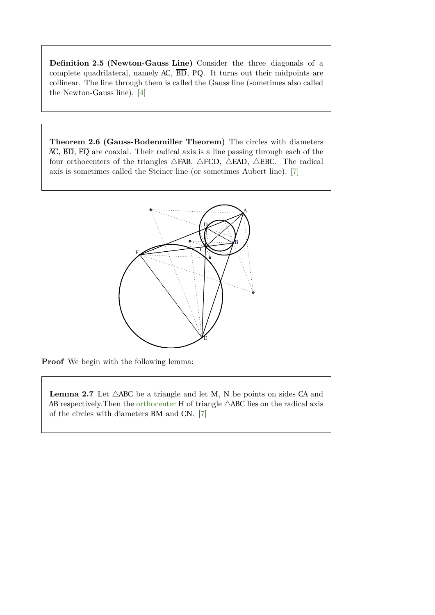<span id="page-7-0"></span>**Definition 2.5 (Newton-Gauss Line)** Consider the three diagonals of a complete quadrilateral, namely  $\overline{AC}$ ,  $\overline{BD}$ ,  $\overline{PQ}$ . It turns out their midpoints are collinear. The line through them is called the Gauss line (sometimes also called the Newton-Gauss line). [\[4\]](#page-16-2)

**Theorem 2.6 (Gauss-Bodenmiller Theorem)** The circles with diameters  $\overline{AC}$ ,  $\overline{BD}$ ,  $\overline{FQ}$  are coaxial. Their radical axis is a line passing through each of the four orthocenters of the triangles  $\triangle$ FAB,  $\triangle$ FCD,  $\triangle$ EAD,  $\triangle$ EBC. The radical axis is sometimes called the Steiner line (or sometimes Aubert line). [\[7\]](#page-16-7)



**Proof** We begin with the following lemma:

**Lemma 2.7** Let  $\triangle ABC$  be a triangle and let M, N be points on sides CA and AB respectively. Then the [orthocenter](#page-2-4) H of triangle  $\triangle$ ABC lies on the radical axis of the circles with diameters BM and CN. [\[7\]](#page-16-7)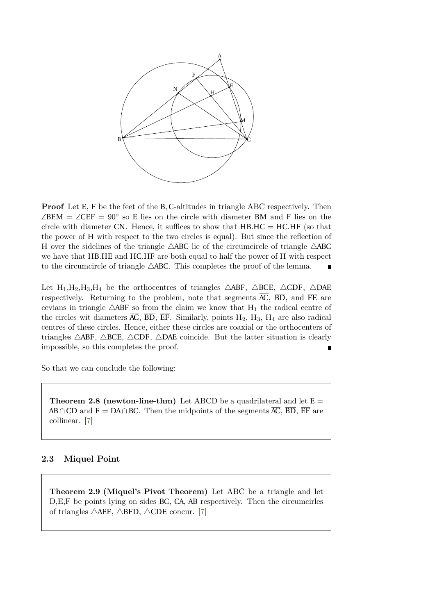

**Proof** Let E, F be the feet of the B, C-altitudes in triangle ABC respectively. Then  $\angle$ BEM =  $\angle$ CEF = 90° so E lies on the circle with diameter BM and F lies on the circle with diameter CN. Hence, it suffices to show that HB*.*HC = HC*.*HF (so that the power of H with respect to the two circles is equal). But since the reflection of H over the sidelines of the triangle  $\triangle$ ABC lie of the circumcircle of triangle  $\triangle$ ABC we have that HB*.*HE and HC*.*HF are both equal to half the power of H with respect to the circumcircle of triangle  $\triangle$ ABC. This completes the proof of the lemma.

Let H<sub>1</sub>,H<sub>2</sub>,H<sub>3</sub>,H<sub>4</sub> be the orthocentres of triangles  $\triangle$ ABF,  $\triangle$ BCE,  $\triangle$ CDF,  $\triangle$ DAE respectively. Returning to the problem, note that segments  $\overline{AC}$ ,  $\overline{BD}$ , and  $\overline{FE}$  are cevians in triangle  $\triangle$ ABF so from the claim we know that H<sub>1</sub> the radical centre of the circles wit diameters  $\overline{AC}$ ,  $\overline{BD}$ ,  $\overline{EF}$ . Similarly, points  $H_2$ ,  $H_3$ ,  $H_4$  are also radical centres of these circles. Hence, either these circles are coaxial or the orthocenters of triangles  $\triangle ABF$ ,  $\triangle BCE$ ,  $\triangle CDF$ ,  $\triangle DAE$  coincide. But the latter situation is clearly impossible, so this completes the proof.

So that we can conclude the following:

**Theorem 2.8 (newton-line-thm)** Let ABCD be a quadrilateral and let  $E =$ AB ∩CD and F = DA∩BC. Then the midpoints of the segments  $\overline{AC}$ ,  $\overline{BD}$ ,  $\overline{EF}$  are collinear. [\[7\]](#page-16-7)

#### <span id="page-8-0"></span>**2.3 Miquel Point**

**Theorem 2.9 (Miquel's Pivot Theorem)** Let ABC be a triangle and let  $D, E, F$  be points lying on sides  $\overline{BC}$ ,  $\overline{CA}$ ,  $\overline{AB}$  respectively. Then the circumcirles of triangles  $\triangle AEF$ ,  $\triangle BFD$ ,  $\triangle CDE$  concur. [\[7\]](#page-16-7)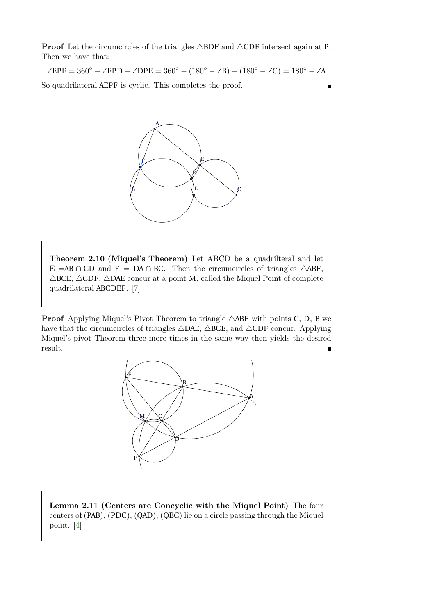**Proof** Let the circumcircles of the triangles  $\triangle BDF$  and  $\triangle CDF$  intersect again at P. Then we have that:

 $\angle EPF = 360^\circ - \angle FPD - \angle DPE = 360^\circ - (180^\circ - \angle B) - (180^\circ - \angle C) = 180^\circ - \angle A$ 

So quadrilateral AEPF is cyclic. This completes the proof.



**Theorem 2.10 (Miquel's Theorem)** Let ABCD be a quadrilteral and let E =AB ∩ CD and F = DA ∩ BC. Then the circumcircles of triangles  $\triangle$ ABF,  $\triangle$ BCE,  $\triangle$ CDF,  $\triangle$ DAE concur at a point M, called the Miquel Point of complete quadrilateral ABCDEF. [\[7\]](#page-16-7)

**Proof** Applying Miquel's Pivot Theorem to triangle  $\triangle$ ABF with points C, D, E we have that the circumcircles of triangles  $\triangle$ DAE,  $\triangle$ BCE, and  $\triangle$ CDF concur. Applying Miquel's pivot Theorem three more times in the same way then yields the desired result.



**Lemma 2.11 (Centers are Concyclic with the Miquel Point)** The four centers of (PAB), (PDC), (QAD), (QBC) lie on a circle passing through the Miquel point. [\[4\]](#page-16-2)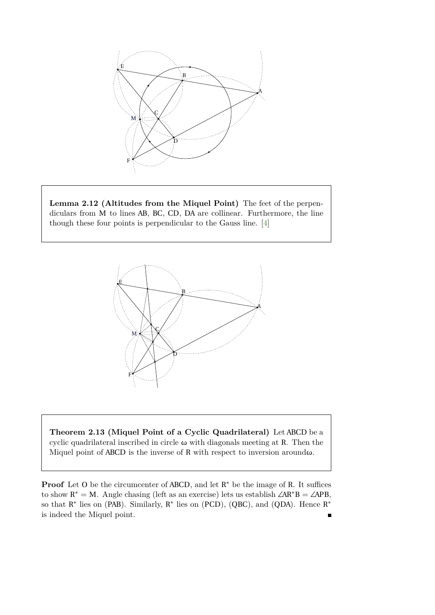

**Lemma 2.12 (Altitudes from the Miquel Point)** The feet of the perpendiculars from M to lines AB, BC, CD, DA are collinear. Furthermore, the line though these four points is perpendicular to the Gauss line. [\[4\]](#page-16-2)



**Theorem 2.13 (Miquel Point of a Cyclic Quadrilateral)** Let ABCD be a cyclic quadrilateral inscribed in circle *ω* with diagonals meeting at R. Then the Miquel point of ABCD is the inverse of R with respect to inversion around*ω*.

**Proof** Let O be the circumcenter of ABCD, and let  $R^*$  be the image of R. It suffices to show  $R^* = M$ . Angle chasing (left as an exercise) lets us establish  $\angle AR^*B = \angle APB$ , so that  $R^*$  lies on (PAB). Similarly,  $R^*$  lies on (PCD), (QBC), and (QDA). Hence  $R^*$ is indeed the Miquel point.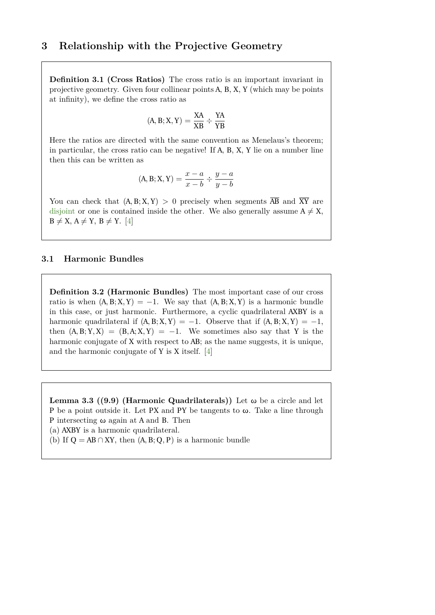## <span id="page-11-2"></span><span id="page-11-0"></span>**3 Relationship with the Projective Geometry**

**Definition 3.1 (Cross Ratios)** The cross ratio is an important invariant in projective geometry. Given four collinear points A, B, X, Y (which may be points at infinity), we define the cross ratio as

$$
(A,B;X,Y)=\frac{XA}{XB}\div\frac{YA}{YB}
$$

Here the ratios are directed with the same convention as Menelaus's theorem; in particular, the cross ratio can be negative! If A, B, X, Y lie on a number line then this can be written as

$$
(A, B; X, Y) = \frac{x - a}{x - b} \div \frac{y - a}{y - b}
$$

You can check that  $(A, B; X, Y) > 0$  precisely when segments  $\overline{AB}$  and  $\overline{XY}$  are [disjoint](#page-2-5) or one is contained inside the other. We also generally assume  $A \neq X$ ,  $B \neq X$ ,  $A \neq Y$ ,  $B \neq Y$ . [\[4\]](#page-16-2)

#### <span id="page-11-1"></span>**3.1 Harmonic Bundles**

**Definition 3.2 (Harmonic Bundles)** The most important case of our cross ratio is when  $(A, B; X, Y) = -1$ . We say that  $(A, B; X, Y)$  is a harmonic bundle in this case, or just harmonic. Furthermore, a cyclic quadrilateral AXBY is a harmonic quadrilateral if  $(A, B; X, Y) = -1$ . Observe that if  $(A, B; X, Y) = -1$ , then  $(A, B; Y, X) = (B, A; X, Y) = -1$ . We sometimes also say that Y is the harmonic conjugate of X with respect to AB; as the name suggests, it is unique, and the harmonic conjugate of Y is X itself. [\[4\]](#page-16-2)

**Lemma 3.3 ((9.9) (Harmonic Quadrilaterals))** Let *ω* be a circle and let P be a point outside it. Let PX and PY be tangents to *ω*. Take a line through P intersecting *ω* again at A and B. Then

(a) AXBY is a harmonic quadrilateral.

(b) If  $Q = AB \cap XY$ , then  $(A, B; Q, P)$  is a harmonic bundle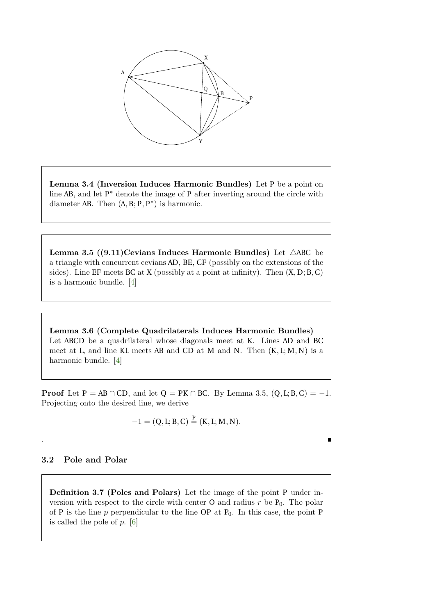

**Lemma 3.4 (Inversion Induces Harmonic Bundles)** Let P be a point on line AB, and let P<sup>\*</sup> denote the image of P after inverting around the circle with diameter AB. Then  $(A, B; P, P^*)$  is harmonic.

**Lemma 3.5 ((9.11) Cevians Induces Harmonic Bundles)** Let  $\triangle ABC$  be a triangle with concurrent cevians AD, BE, CF (possibly on the extensions of the sides). Line EF meets BC at X (possibly at a point at infinity). Then (X*,* D; B*,*C) is a harmonic bundle. [\[4\]](#page-16-2)

**Lemma 3.6 (Complete Quadrilaterals Induces Harmonic Bundles)** Let ABCD be a quadrilateral whose diagonals meet at K. Lines AD and BC meet at L, and line KL meets AB and CD at M and N. Then (K*,* L; M*,* N) is a harmonic bundle. [\[4\]](#page-16-2)

**Proof** Let  $P = AB \cap CD$ , and let  $Q = PK \cap BC$ . By Lemma 3.5,  $(Q, L; B, C) = -1$ . Projecting onto the desired line, we derive

$$
-1 = (Q, L; B, C) \stackrel{P}{=} (K, L; M, N).
$$

#### <span id="page-12-0"></span>**3.2 Pole and Polar**

.

**Definition 3.7 (Poles and Polars)** Let the image of the point P under inversion with respect to the circle with center  $O$  and radius  $r$  be  $P_0$ . The polar of P is the line  $p$  perpendicular to the line OP at  $P_0$ . In this case, the point P is called the pole of *p*. [\[6\]](#page-16-3)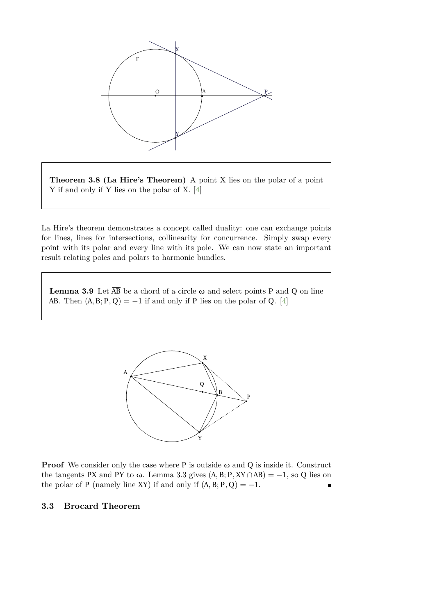

**Theorem 3.8 (La Hire's Theorem)** A point X lies on the polar of a point Y if and only if Y lies on the polar of X. [\[4\]](#page-16-2)

La Hire's theorem demonstrates a concept called duality: one can exchange points for lines, lines for intersections, collinearity for concurrence. Simply swap every point with its polar and every line with its pole. We can now state an important result relating poles and polars to harmonic bundles.

**Lemma 3.9** Let  $\overline{AB}$  be a chord of a circle  $\omega$  and select points P and Q on line AB. Then  $(A, B; P, Q) = -1$  if and only if P lies on the polar of Q. [\[4\]](#page-16-2)



**Proof** We consider only the case where P is outside *ω* and Q is inside it. Construct the tangents PX and PY to  $\omega$ . Lemma 3.3 gives  $(A, B; P, XY \cap AB) = -1$ , so Q lies on the polar of P (namely line XY) if and only if  $(A, B; P, Q) = -1$ .  $\blacksquare$ 

#### <span id="page-13-0"></span>**3.3 Brocard Theorem**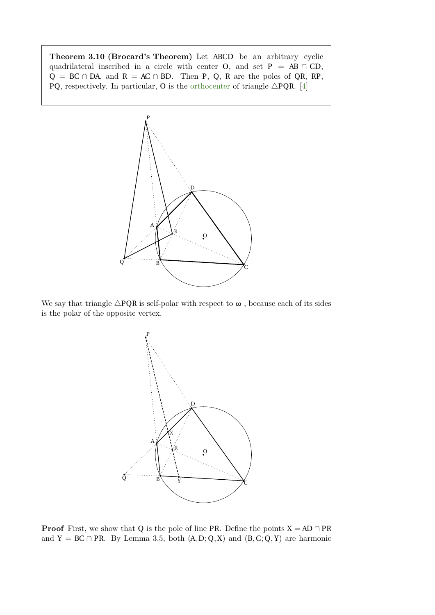<span id="page-14-0"></span>**Theorem 3.10 (Brocard's Theorem)** Let ABCD be an arbitrary cyclic quadrilateral inscribed in a circle with center O, and set  $P = AB \cap CD$ ,  $Q = BC \cap DA$ , and  $R = AC \cap BD$ . Then P, Q, R are the poles of QR, RP, PQ, respectively. In particular, O is the [orthocenter](#page-2-4) of triangle  $\triangle PQR$ . [\[4\]](#page-16-2)



We say that triangle  $\triangle PQR$  is self-polar with respect to  $\omega$ , because each of its sides is the polar of the opposite vertex.



**Proof** First, we show that Q is the pole of line PR. Define the points  $X = AD \cap PR$ and Y = BC  $\cap$  PR. By Lemma 3.5, both  $(A, D; Q, X)$  and  $(B, C; Q, Y)$  are harmonic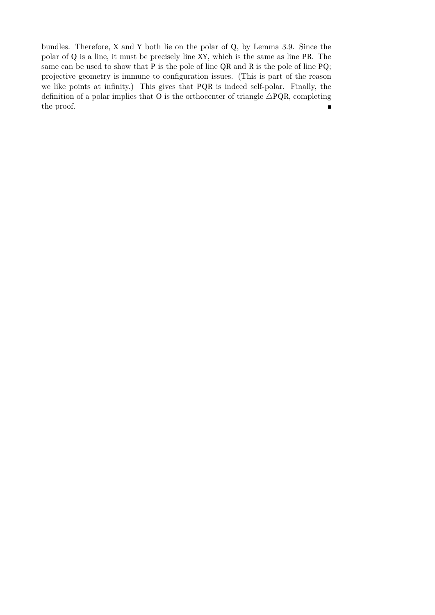bundles. Therefore, X and Y both lie on the polar of Q, by Lemma 3.9. Since the polar of Q is a line, it must be precisely line XY, which is the same as line PR. The same can be used to show that P is the pole of line QR and R is the pole of line PQ; projective geometry is immune to configuration issues. (This is part of the reason we like points at infinity.) This gives that PQR is indeed self-polar. Finally, the definition of a polar implies that O is the orthocenter of triangle  $\triangle PQR$ , completing the proof. $\blacksquare$